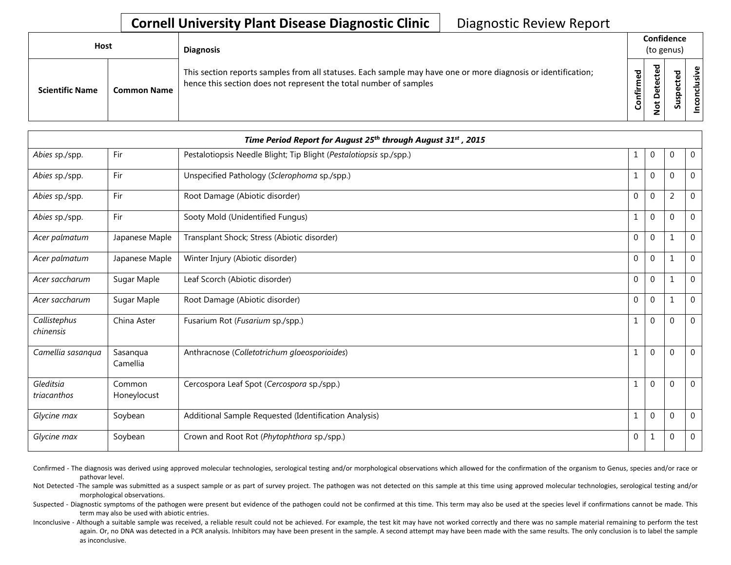## **Cornell University Plant Disease Diagnostic Clinic** | Diagnostic Review Report

| <b>Host</b>            |                    | <b>Diagnosis</b>                                                                                                                                                                   |                            | Confidence<br>(to genus)                                               |                  |                  |
|------------------------|--------------------|------------------------------------------------------------------------------------------------------------------------------------------------------------------------------------|----------------------------|------------------------------------------------------------------------|------------------|------------------|
| <b>Scientific Name</b> | <b>Common Name</b> | This section reports samples from all statuses. Each sample may have one or more diagnosis or identification;<br>hence this section does not represent the total number of samples | ЪЪ<br>∴.<br>눝<br>$\bullet$ | ठ<br>ω<br>ಕ<br>Φ<br>ى<br>Φ<br>ᆸ<br>$\overline{\mathbf{o}}$<br><b>C</b> | ᇴ<br>꾠<br>ပ<br>3 | ω<br>ś<br>ত<br>S |

|                           |                       | Time Period Report for August 25 <sup>th</sup> through August 31 <sup>st</sup> , 2015 |             |                  |                |                |
|---------------------------|-----------------------|---------------------------------------------------------------------------------------|-------------|------------------|----------------|----------------|
| Abies sp./spp.            | Fir                   | Pestalotiopsis Needle Blight; Tip Blight (Pestalotiopsis sp./spp.)                    | 1           | $\boldsymbol{0}$ | $\mathbf 0$    | $\overline{0}$ |
| Abies sp./spp.            | Fir                   | Unspecified Pathology (Sclerophoma sp./spp.)                                          | 1           | $\pmb{0}$        | $\mathbf 0$    | 0              |
| Abies sp./spp.            | Fir                   | Root Damage (Abiotic disorder)                                                        | 0           | $\pmb{0}$        | $\overline{2}$ | $\Omega$       |
| Abies sp./spp.            | Fir                   | Sooty Mold (Unidentified Fungus)                                                      | 1           | $\pmb{0}$        | $\mathbf 0$    | 0              |
| Acer palmatum             | Japanese Maple        | Transplant Shock; Stress (Abiotic disorder)                                           | 0           | $\pmb{0}$        | $\mathbf 1$    | 0              |
| Acer palmatum             | Japanese Maple        | Winter Injury (Abiotic disorder)                                                      | $\mathbf 0$ | $\mathbf{0}$     | $\mathbf 1$    | 0              |
| Acer saccharum            | Sugar Maple           | Leaf Scorch (Abiotic disorder)                                                        | $\Omega$    | $\mathbf{0}$     | 1              | $\Omega$       |
| Acer saccharum            | Sugar Maple           | Root Damage (Abiotic disorder)                                                        | $\Omega$    | $\mathbf 0$      | $\mathbf 1$    | $\Omega$       |
| Callistephus<br>chinensis | China Aster           | Fusarium Rot (Fusarium sp./spp.)                                                      | 1           | $\pmb{0}$        | $\overline{0}$ | 0              |
| Camellia sasanqua         | Sasanqua<br>Camellia  | Anthracnose (Colletotrichum gloeosporioides)                                          | 1           | $\mathbf 0$      | $\overline{0}$ | 0              |
| Gleditsia<br>triacanthos  | Common<br>Honeylocust | Cercospora Leaf Spot (Cercospora sp./spp.)                                            | 1           | $\pmb{0}$        | $\overline{0}$ | 0              |
| Glycine max               | Soybean               | Additional Sample Requested (Identification Analysis)                                 | 1           | $\mathbf 0$      | $\overline{0}$ | 0              |
| Glycine max               | Soybean               | Crown and Root Rot (Phytophthora sp./spp.)                                            | 0           | 1                | $\mathbf 0$    | 0              |

Confirmed - The diagnosis was derived using approved molecular technologies, serological testing and/or morphological observations which allowed for the confirmation of the organism to Genus, species and/or race or pathovar level.

Not Detected -The sample was submitted as a suspect sample or as part of survey project. The pathogen was not detected on this sample at this time using approved molecular technologies, serological testing and/or morphological observations.

Suspected - Diagnostic symptoms of the pathogen were present but evidence of the pathogen could not be confirmed at this time. This term may also be used at the species level if confirmations cannot be made. This term may also be used with abiotic entries.

Inconclusive - Although a suitable sample was received, a reliable result could not be achieved. For example, the test kit may have not worked correctly and there was no sample material remaining to perform the test again. Or, no DNA was detected in a PCR analysis. Inhibitors may have been present in the sample. A second attempt may have been made with the same results. The only conclusion is to label the sample as inconclusive.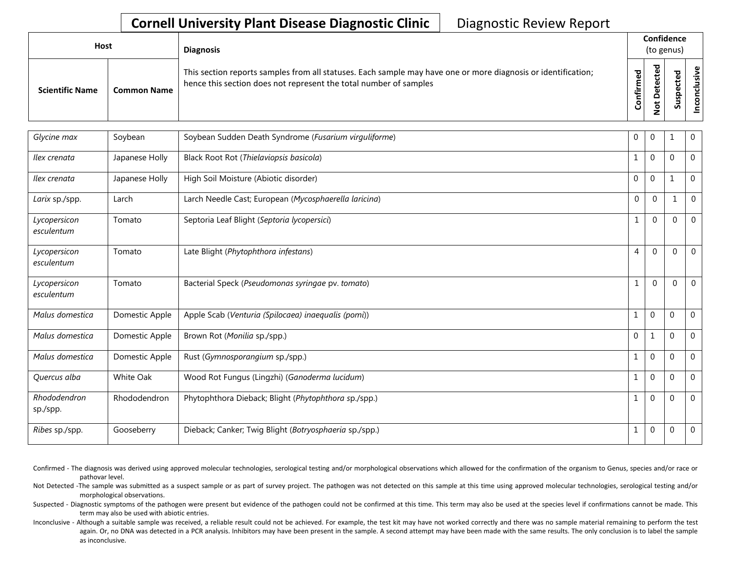## **Cornell University Plant Disease Diagnostic Clinic** | Diagnostic Review Report

| Host                   |                    | <b>Diagnosis</b>                                                                                                                                                                   |         | Confidence<br>(to genus) |                       |  |
|------------------------|--------------------|------------------------------------------------------------------------------------------------------------------------------------------------------------------------------------|---------|--------------------------|-----------------------|--|
| <b>Scientific Name</b> | <b>Common Name</b> | This section reports samples from all statuses. Each sample may have one or more diagnosis or identification;<br>hence this section does not represent the total number of samples | ᠊ᠣ<br>⊷ | پ                        | ω<br>ω<br>௨<br>s<br>n |  |

| Glycine max                | Soybean        | Soybean Sudden Death Syndrome (Fusarium virguliforme)  | $\overline{0}$ | $\overline{0}$   |              | 0              |
|----------------------------|----------------|--------------------------------------------------------|----------------|------------------|--------------|----------------|
| Ilex crenata               | Japanese Holly | Black Root Rot (Thielaviopsis basicola)                |                | $\mathbf 0$      | $\Omega$     | $\overline{0}$ |
| Ilex crenata               | Japanese Holly | High Soil Moisture (Abiotic disorder)                  | $\Omega$       | $\mathbf 0$      | 1            | $\overline{0}$ |
| Larix sp./spp.             | Larch          | Larch Needle Cast; European (Mycosphaerella laricina)  | 0              | $\Omega$         |              | $\mathbf 0$    |
| Lycopersicon<br>esculentum | Tomato         | Septoria Leaf Blight (Septoria lycopersici)            | $\mathbf 1$    | $\Omega$         | $\mathbf 0$  | $\mathbf 0$    |
| Lycopersicon<br>esculentum | Tomato         | Late Blight (Phytophthora infestans)                   | 4              | $\Omega$         | $\mathbf 0$  | $\Omega$       |
| Lycopersicon<br>esculentum | Tomato         | Bacterial Speck (Pseudomonas syringae pv. tomato)      | 1              | $\Omega$         | $\Omega$     | $\mathbf{0}$   |
| Malus domestica            | Domestic Apple | Apple Scab (Venturia (Spilocaea) inaequalis (pomi))    |                | $\mathbf 0$      | $\Omega$     | $\overline{0}$ |
| Malus domestica            | Domestic Apple | Brown Rot (Monilia sp./spp.)                           | $\Omega$       | $\mathbf{1}$     | $\mathbf{0}$ | $\overline{0}$ |
| Malus domestica            | Domestic Apple | Rust (Gymnosporangium sp./spp.)                        | $\mathbf{1}$   | $\mathbf 0$      | $\Omega$     | $\overline{0}$ |
| Quercus alba               | White Oak      | Wood Rot Fungus (Lingzhi) (Ganoderma lucidum)          | $\mathbf{1}$   | $\mathbf 0$      | $\Omega$     | $\overline{0}$ |
| Rhododendron<br>sp./spp.   | Rhododendron   | Phytophthora Dieback; Blight (Phytophthora sp./spp.)   | 1              | $\mathbf 0$      | 0            | $\overline{0}$ |
| Ribes sp./spp.             | Gooseberry     | Dieback; Canker; Twig Blight (Botryosphaeria sp./spp.) | 1              | $\boldsymbol{0}$ | $\mathbf 0$  | 0              |

Confirmed - The diagnosis was derived using approved molecular technologies, serological testing and/or morphological observations which allowed for the confirmation of the organism to Genus, species and/or race or pathovar level.

Not Detected -The sample was submitted as a suspect sample or as part of survey project. The pathogen was not detected on this sample at this time using approved molecular technologies, serological testing and/or morphological observations.

Suspected - Diagnostic symptoms of the pathogen were present but evidence of the pathogen could not be confirmed at this time. This term may also be used at the species level if confirmations cannot be made. This term may also be used with abiotic entries.

Inconclusive - Although a suitable sample was received, a reliable result could not be achieved. For example, the test kit may have not worked correctly and there was no sample material remaining to perform the test again. Or, no DNA was detected in a PCR analysis. Inhibitors may have been present in the sample. A second attempt may have been made with the same results. The only conclusion is to label the sample as inconclusive.